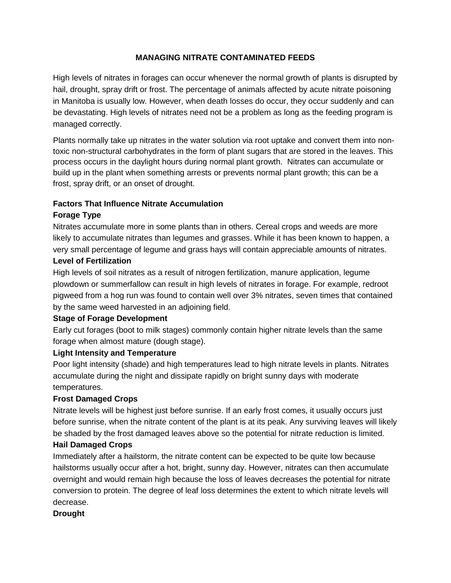### **MANAGING NITRATE CONTAMINATED FEEDS**

High levels of nitrates in forages can occur whenever the normal growth of plants is disrupted by hail, drought, spray drift or frost. The percentage of animals affected by acute nitrate poisoning in Manitoba is usually low. However, when death losses do occur, they occur suddenly and can be devastating. High levels of nitrates need not be a problem as long as the feeding program is managed correctly.

Plants normally take up nitrates in the water solution via root uptake and convert them into nontoxic non-structural carbohydrates in the form of plant sugars that are stored in the leaves. This process occurs in the daylight hours during normal plant growth. Nitrates can accumulate or build up in the plant when something arrests or prevents normal plant growth; this can be a frost, spray drift, or an onset of drought.

## **Factors That Influence Nitrate Accumulation**

### **Forage Type**

Nitrates accumulate more in some plants than in others. Cereal crops and weeds are more likely to accumulate nitrates than legumes and grasses. While it has been known to happen, a very small percentage of legume and grass hays will contain appreciable amounts of nitrates.

### **Level of Fertilization**

High levels of soil nitrates as a result of nitrogen fertilization, manure application, legume plowdown or summerfallow can result in high levels of nitrates in forage. For example, redroot pigweed from a hog run was found to contain well over 3% nitrates, seven times that contained by the same weed harvested in an adjoining field.

### **Stage of Forage Development**

Early cut forages (boot to milk stages) commonly contain higher nitrate levels than the same forage when almost mature (dough stage).

# **Light Intensity and Temperature**

Poor light intensity (shade) and high temperatures lead to high nitrate levels in plants. Nitrates accumulate during the night and dissipate rapidly on bright sunny days with moderate temperatures.

### **Frost Damaged Crops**

Nitrate levels will be highest just before sunrise. If an early frost comes, it usually occurs just before sunrise, when the nitrate content of the plant is at its peak. Any surviving leaves will likely be shaded by the frost damaged leaves above so the potential for nitrate reduction is limited.

### **Hail Damaged Crops**

Immediately after a hailstorm, the nitrate content can be expected to be quite low because hailstorms usually occur after a hot, bright, sunny day. However, nitrates can then accumulate overnight and would remain high because the loss of leaves decreases the potential for nitrate conversion to protein. The degree of leaf loss determines the extent to which nitrate levels will decrease.

### **Drought**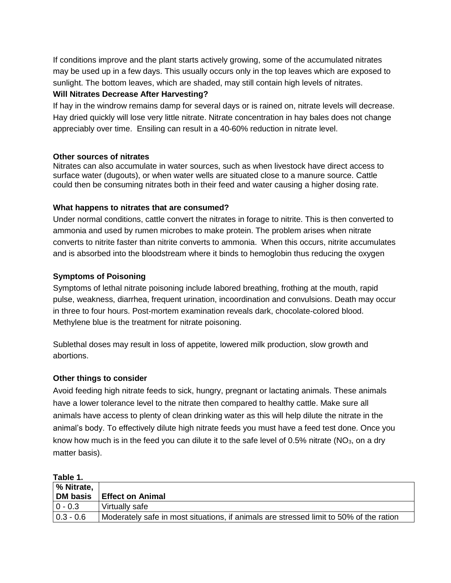If conditions improve and the plant starts actively growing, some of the accumulated nitrates may be used up in a few days. This usually occurs only in the top leaves which are exposed to sunlight. The bottom leaves, which are shaded, may still contain high levels of nitrates.

#### **Will Nitrates Decrease After Harvesting?**

If hay in the windrow remains damp for several days or is rained on, nitrate levels will decrease. Hay dried quickly will lose very little nitrate. Nitrate concentration in hay bales does not change appreciably over time. Ensiling can result in a 40-60% reduction in nitrate level.

#### **Other sources of nitrates**

Nitrates can also accumulate in water sources, such as when livestock have direct access to surface water (dugouts), or when water wells are situated close to a manure source. Cattle could then be consuming nitrates both in their feed and water causing a higher dosing rate.

#### **What happens to nitrates that are consumed?**

Under normal conditions, cattle convert the nitrates in forage to nitrite. This is then converted to ammonia and used by rumen microbes to make protein. The problem arises when nitrate converts to nitrite faster than nitrite converts to ammonia. When this occurs, nitrite accumulates and is absorbed into the bloodstream where it binds to hemoglobin thus reducing the oxygen

#### **Symptoms of Poisoning**

Symptoms of lethal nitrate poisoning include labored breathing, frothing at the mouth, rapid pulse, weakness, diarrhea, frequent urination, incoordination and convulsions. Death may occur in three to four hours. Post-mortem examination reveals dark, chocolate-colored blood. Methylene blue is the treatment for nitrate poisoning.

Sublethal doses may result in loss of appetite, lowered milk production, slow growth and abortions.

#### **Other things to consider**

Avoid feeding high nitrate feeds to sick, hungry, pregnant or lactating animals. These animals have a lower tolerance level to the nitrate then compared to healthy cattle. Make sure all animals have access to plenty of clean drinking water as this will help dilute the nitrate in the animal's body. To effectively dilute high nitrate feeds you must have a feed test done. Once you know how much is in the feed you can dilute it to the safe level of 0.5% nitrate ( $NO<sub>3</sub>$ , on a dry matter basis).

| Table 1.    |                                                                                        |
|-------------|----------------------------------------------------------------------------------------|
| % Nitrate,  |                                                                                        |
| DM basis    | <b>Effect on Animal</b>                                                                |
| $ 0 - 0.3 $ | Virtually safe                                                                         |
| $0.3 - 0.6$ | Moderately safe in most situations, if animals are stressed limit to 50% of the ration |